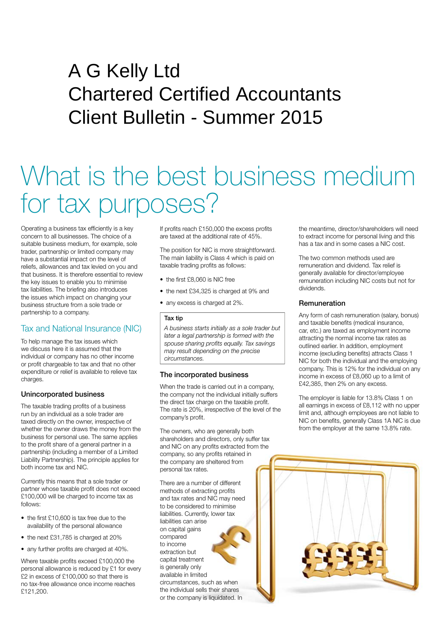## A G Kelly Ltd Chartered Certified Accountants Client Bulletin - Summer 2015

# What is the best business medium for tax purposes?

Operating a business tax efficiently is a key concern to all businesses. The choice of a suitable business medium, for example, sole trader, partnership or limited company may have a substantial impact on the level of reliefs, allowances and tax levied on you and that business. It is therefore essential to review the key issues to enable you to minimise tax liabilities. The briefing also introduces the issues which impact on changing your business structure from a sole trade or partnership to a company.

## Tax and National Insurance (NIC)

To help manage the tax issues which we discuss here it is assumed that the individual or company has no other income or profit chargeable to tax and that no other expenditure or relief is available to relieve tax charges.

#### Unincorporated business

The taxable trading profits of a business run by an individual as a sole trader are taxed directly on the owner, irrespective of whether the owner draws the money from the business for personal use. The same applies to the profit share of a general partner in a partnership (including a member of a Limited Liability Partnership). The principle applies for both income tax and NIC.

Currently this means that a sole trader or partner whose taxable profit does not exceed £100,000 will be charged to income tax as follows:

- the first £10,600 is tax free due to the availability of the personal allowance
- the next £31,785 is charged at 20%
- any further profits are charged at 40%.

Where taxable profits exceed £100,000 the personal allowance is reduced by £1 for every £2 in excess of £100,000 so that there is no tax-free allowance once income reaches £121,200.

If profits reach £150,000 the excess profits are taxed at the additional rate of 45%.

The position for NIC is more straightforward. The main liability is Class 4 which is paid on taxable trading profits as follows:

- the first £8,060 is NIC free
- the next £34,325 is charged at 9% and
- any excess is charged at 2%.

#### Tax tip

*A business starts initially as a sole trader but later a legal partnership is formed with the spouse sharing profits equally. Tax savings may result depending on the precise circumstances.* 

#### The incorporated business

When the trade is carried out in a company, the company not the individual initially suffers the direct tax charge on the taxable profit. The rate is 20%, irrespective of the level of the company's profit.

The owners, who are generally both shareholders and directors, only suffer tax and NIC on any profits extracted from the company, so any profits retained in the company are sheltered from personal tax rates.

There are a number of different methods of extracting profits and tax rates and NIC may need to be considered to minimise liabilities. Currently, lower tax liabilities can arise on capital gains compared to income extraction but capital treatment is generally only available in limited circumstances, such as when the individual sells their shares or the company is liquidated. In

the meantime, director/shareholders will need to extract income for personal living and this has a tax and in some cases a NIC cost.

The two common methods used are remuneration and dividend. Tax relief is generally available for director/employee remuneration including NIC costs but not for dividends.

#### **Remuneration**

Any form of cash remuneration (salary, bonus) and taxable benefits (medical insurance, car, etc.) are taxed as employment income attracting the normal income tax rates as outlined earlier. In addition, employment income (excluding benefits) attracts Class 1 NIC for both the individual and the employing company. This is 12% for the individual on any income in excess of £8,060 up to a limit of £42,385, then 2% on any excess.

The employer is liable for 13.8% Class 1 on all earnings in excess of £8,112 with no upper limit and, although employees are not liable to NIC on benefits, generally Class 1A NIC is due from the employer at the same 13.8% rate.